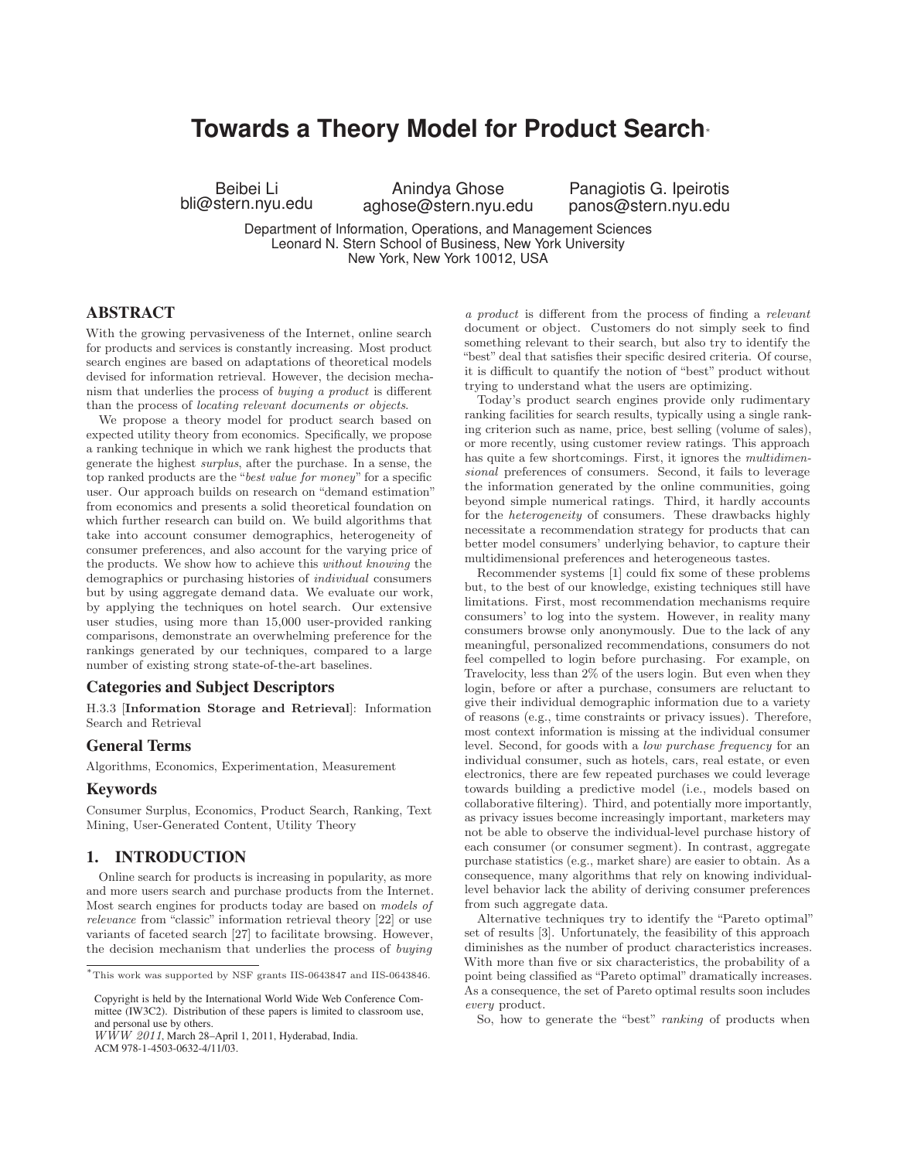# **Towards a Theory Model for Product Search**<sup>∗</sup>

Beibei Li<br>bli@stern.nyu.edu

bli@stern.nyu.edu Anindya Ghose aghose@stern.nyu.edu

Panagiotis G. Ipeirotis panos@stern.nyu.edu

Department of Information, Operations, and Management Sciences Leonard N. Stern School of Business, New York University New York, New York 10012, USA

# ABSTRACT

With the growing pervasiveness of the Internet, online search for products and services is constantly increasing. Most product search engines are based on adaptations of theoretical models devised for information retrieval. However, the decision mechanism that underlies the process of buying a product is different than the process of locating relevant documents or objects.

We propose a theory model for product search based on expected utility theory from economics. Specifically, we propose a ranking technique in which we rank highest the products that generate the highest surplus, after the purchase. In a sense, the top ranked products are the "best value for money" for a specific user. Our approach builds on research on "demand estimation" from economics and presents a solid theoretical foundation on which further research can build on. We build algorithms that take into account consumer demographics, heterogeneity of consumer preferences, and also account for the varying price of the products. We show how to achieve this without knowing the demographics or purchasing histories of individual consumers but by using aggregate demand data. We evaluate our work, by applying the techniques on hotel search. Our extensive user studies, using more than 15,000 user-provided ranking comparisons, demonstrate an overwhelming preference for the rankings generated by our techniques, compared to a large number of existing strong state-of-the-art baselines.

## Categories and Subject Descriptors

H.3.3 [**Information Storage and Retrieval**]: Information Search and Retrieval

## General Terms

Algorithms, Economics, Experimentation, Measurement

## Keywords

Consumer Surplus, Economics, Product Search, Ranking, Text Mining, User-Generated Content, Utility Theory

## 1. INTRODUCTION

Online search for products is increasing in popularity, as more and more users search and purchase products from the Internet. Most search engines for products today are based on *models of* relevance from "classic" information retrieval theory [22] or use variants of faceted search [27] to facilitate browsing. However, the decision mechanism that underlies the process of buying

 $WWW$  2011, March 28-April 1, 2011, Hyderabad, India. ACM 978-1-4503-0632-4/11/03.

a product is different from the process of finding a relevant document or object. Customers do not simply seek to find something relevant to their search, but also try to identify the "best" deal that satisfies their specific desired criteria. Of course, it is difficult to quantify the notion of "best" product without trying to understand what the users are optimizing.

Today's product search engines provide only rudimentary ranking facilities for search results, typically using a single ranking criterion such as name, price, best selling (volume of sales), or more recently, using customer review ratings. This approach has quite a few shortcomings. First, it ignores the *multidimen*sional preferences of consumers. Second, it fails to leverage the information generated by the online communities, going beyond simple numerical ratings. Third, it hardly accounts for the heterogeneity of consumers. These drawbacks highly necessitate a recommendation strategy for products that can better model consumers' underlying behavior, to capture their multidimensional preferences and heterogeneous tastes.

Recommender systems [1] could fix some of these problems but, to the best of our knowledge, existing techniques still have limitations. First, most recommendation mechanisms require consumers' to log into the system. However, in reality many consumers browse only anonymously. Due to the lack of any meaningful, personalized recommendations, consumers do not feel compelled to login before purchasing. For example, on Travelocity, less than 2% of the users login. But even when they login, before or after a purchase, consumers are reluctant to give their individual demographic information due to a variety of reasons (e.g., time constraints or privacy issues). Therefore, most context information is missing at the individual consumer level. Second, for goods with a low purchase frequency for an individual consumer, such as hotels, cars, real estate, or even electronics, there are few repeated purchases we could leverage towards building a predictive model (i.e., models based on collaborative filtering). Third, and potentially more importantly, as privacy issues become increasingly important, marketers may not be able to observe the individual-level purchase history of each consumer (or consumer segment). In contrast, aggregate purchase statistics (e.g., market share) are easier to obtain. As a consequence, many algorithms that rely on knowing individuallevel behavior lack the ability of deriving consumer preferences from such aggregate data.

Alternative techniques try to identify the "Pareto optimal" set of results [3]. Unfortunately, the feasibility of this approach diminishes as the number of product characteristics increases. With more than five or six characteristics, the probability of a point being classified as "Pareto optimal" dramatically increases. As a consequence, the set of Pareto optimal results soon includes every product.

So, how to generate the "best" *ranking* of products when

<sup>∗</sup>This work was supported by NSF grants IIS-0643847 and IIS-0643846.

Copyright is held by the International World Wide Web Conference Committee (IW3C2). Distribution of these papers is limited to classroom use, and personal use by others.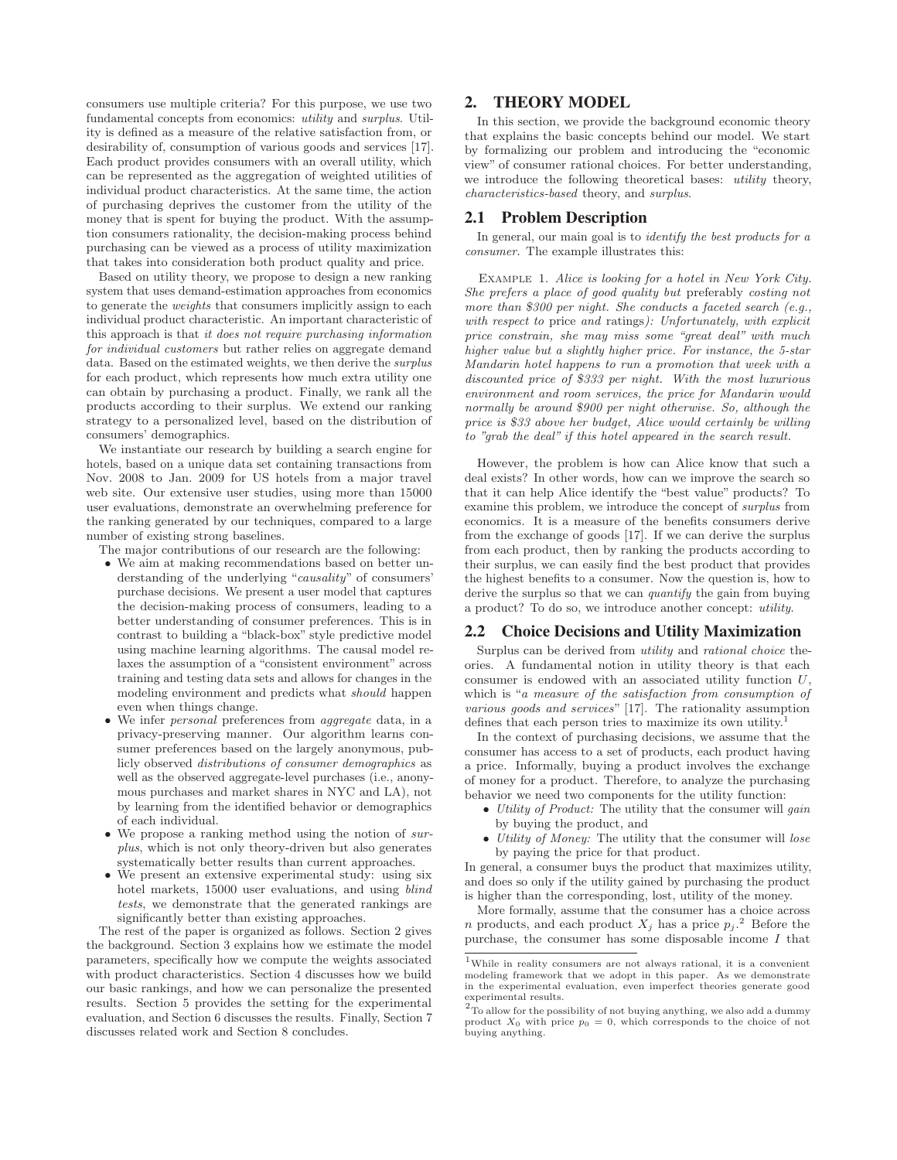consumers use multiple criteria? For this purpose, we use two fundamental concepts from economics: utility and surplus. Utility is defined as a measure of the relative satisfaction from, or desirability of, consumption of various goods and services [17]. Each product provides consumers with an overall utility, which can be represented as the aggregation of weighted utilities of individual product characteristics. At the same time, the action of purchasing deprives the customer from the utility of the money that is spent for buying the product. With the assumption consumers rationality, the decision-making process behind purchasing can be viewed as a process of utility maximization that takes into consideration both product quality and price.

Based on utility theory, we propose to design a new ranking system that uses demand-estimation approaches from economics to generate the weights that consumers implicitly assign to each individual product characteristic. An important characteristic of this approach is that it does not require purchasing information for individual customers but rather relies on aggregate demand data. Based on the estimated weights, we then derive the surplus for each product, which represents how much extra utility one can obtain by purchasing a product. Finally, we rank all the products according to their surplus. We extend our ranking strategy to a personalized level, based on the distribution of consumers' demographics.

We instantiate our research by building a search engine for hotels, based on a unique data set containing transactions from Nov. 2008 to Jan. 2009 for US hotels from a major travel web site. Our extensive user studies, using more than 15000 user evaluations, demonstrate an overwhelming preference for the ranking generated by our techniques, compared to a large number of existing strong baselines.

The major contributions of our research are the following:

- We aim at making recommendations based on better understanding of the underlying "causality" of consumers' purchase decisions. We present a user model that captures the decision-making process of consumers, leading to a better understanding of consumer preferences. This is in contrast to building a "black-box" style predictive model using machine learning algorithms. The causal model relaxes the assumption of a "consistent environment" across training and testing data sets and allows for changes in the modeling environment and predicts what should happen even when things change.
- We infer *personal* preferences from *aggregate* data, in a privacy-preserving manner. Our algorithm learns consumer preferences based on the largely anonymous, publicly observed distributions of consumer demographics as well as the observed aggregate-level purchases (i.e., anonymous purchases and market shares in NYC and LA), not by learning from the identified behavior or demographics of each individual.
- We propose a ranking method using the notion of surplus, which is not only theory-driven but also generates systematically better results than current approaches.
- We present an extensive experimental study: using six hotel markets, 15000 user evaluations, and using blind tests, we demonstrate that the generated rankings are significantly better than existing approaches.

The rest of the paper is organized as follows. Section 2 gives the background. Section 3 explains how we estimate the model parameters, specifically how we compute the weights associated with product characteristics. Section 4 discusses how we build our basic rankings, and how we can personalize the presented results. Section 5 provides the setting for the experimental evaluation, and Section 6 discusses the results. Finally, Section 7 discusses related work and Section 8 concludes.

#### 2. THEORY MODEL

In this section, we provide the background economic theory that explains the basic concepts behind our model. We start by formalizing our problem and introducing the "economic view" of consumer rational choices. For better understanding, we introduce the following theoretical bases: *utility* theory, characteristics-based theory, and surplus.

## 2.1 Problem Description

In general, our main goal is to *identify the best products for a* consumer. The example illustrates this:

Example 1. Alice is looking for a hotel in New York City. She prefers a place of good quality but preferably costing not more than \$300 per night. She conducts a faceted search (e.g., with respect to price and ratings): Unfortunately, with explicit price constrain, she may miss some "great deal" with much higher value but a slightly higher price. For instance, the 5-star Mandarin hotel happens to run a promotion that week with a discounted price of \$333 per night. With the most luxurious environment and room services, the price for Mandarin would normally be around \$900 per night otherwise. So, although the price is \$33 above her budget, Alice would certainly be willing to "grab the deal" if this hotel appeared in the search result.

However, the problem is how can Alice know that such a deal exists? In other words, how can we improve the search so that it can help Alice identify the "best value" products? To examine this problem, we introduce the concept of surplus from economics. It is a measure of the benefits consumers derive from the exchange of goods [17]. If we can derive the surplus from each product, then by ranking the products according to their surplus, we can easily find the best product that provides the highest benefits to a consumer. Now the question is, how to derive the surplus so that we can *quantify* the gain from buying a product? To do so, we introduce another concept: utility.

#### 2.2 Choice Decisions and Utility Maximization

Surplus can be derived from *utility* and *rational choice* theories. A fundamental notion in utility theory is that each consumer is endowed with an associated utility function U, which is "a measure of the satisfaction from consumption of various goods and services" [17]. The rationality assumption defines that each person tries to maximize its own utility.<sup>1</sup>

In the context of purchasing decisions, we assume that the consumer has access to a set of products, each product having a price. Informally, buying a product involves the exchange of money for a product. Therefore, to analyze the purchasing behavior we need two components for the utility function:

- *Utility of Product:* The utility that the consumer will *gain* by buying the product, and
- Utility of Money: The utility that the consumer will lose by paying the price for that product.

In general, a consumer buys the product that maximizes utility, and does so only if the utility gained by purchasing the product is higher than the corresponding, lost, utility of the money.

More formally, assume that the consumer has a choice across *n* products, and each product  $X_j$  has a price  $p_j$ . Before the purchase, the consumer has some disposable income I that

 $^{\rm 1}$  While in reality consumers are not always rational, it is a convenient modeling framework that we adopt in this paper. As we demonstrate in the experimental evaluation, even imperfect theories generate good experimental results.<br><sup>2</sup>To allow for the possibility of not buying anything, we also add a dummy

product  $X_0$  with price  $p_0 = 0$ , which corresponds to the choice of not buying anything.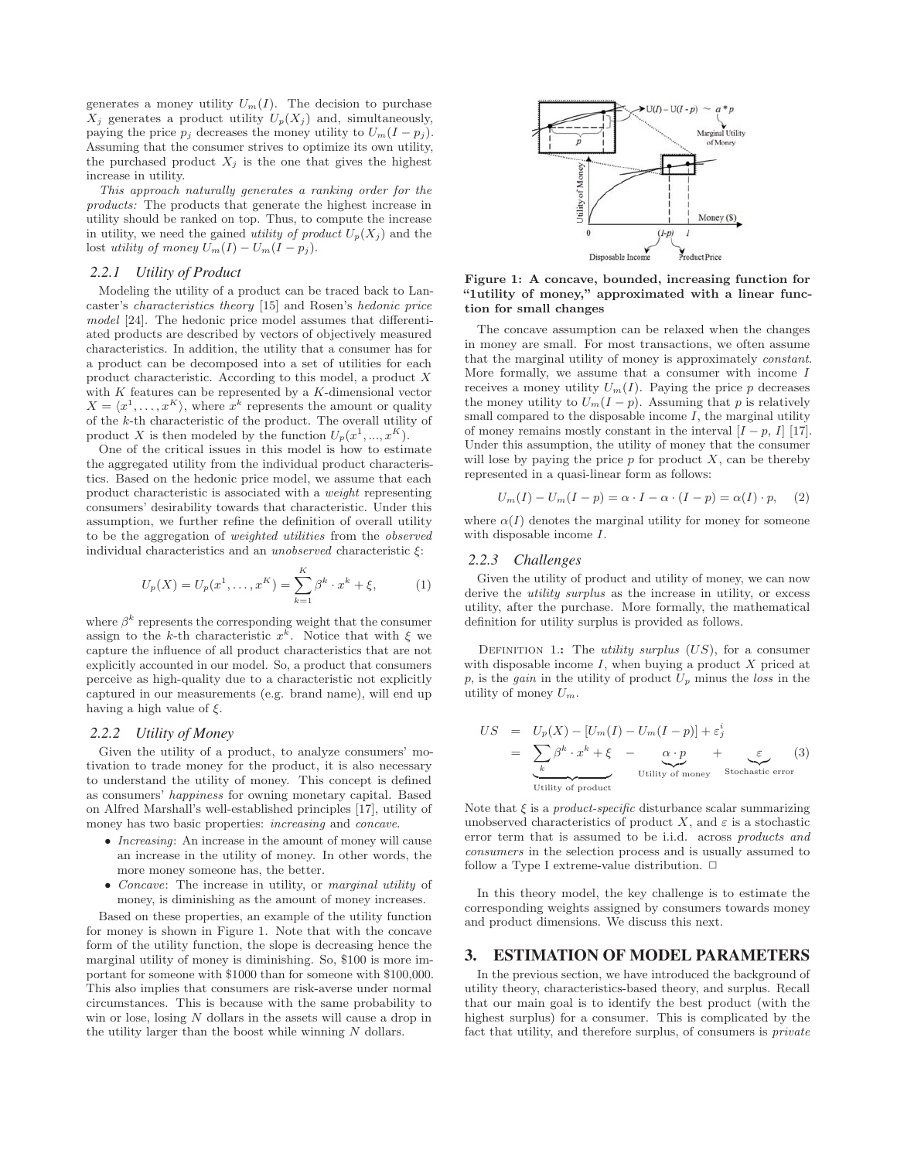generates a money utility  $U_m(I)$ . The decision to purchase  $X_j$  generates a product utility  $U_p(X_j)$  and, simultaneously, paying the price  $p_j$  decreases the money utility to  $U_m(I - p_j)$ . Assuming that the consumer strives to optimize its own utility, the purchased product  $X_j$  is the one that gives the highest increase in utility.

This approach naturally generates a ranking order for the products: The products that generate the highest increase in utility should be ranked on top. Thus, to compute the increase in utility, we need the gained *utility of product*  $U_p(X_j)$  and the lost utility of money  $U_m(I) - U_m(I - p_j)$ .

#### *2.2.1 Utility of Product*

Modeling the utility of a product can be traced back to Lancaster's characteristics theory [15] and Rosen's hedonic price model [24]. The hedonic price model assumes that differentiated products are described by vectors of objectively measured characteristics. In addition, the utility that a consumer has for a product can be decomposed into a set of utilities for each product characteristic. According to this model, a product  $X$ with  $K$  features can be represented by a  $K$ -dimensional vector  $X = \langle x^1, \ldots, x^K \rangle$ , where  $x^k$  represents the amount or quality of the k-th characteristic of the product. The overall utility of product X is then modeled by the function  $U_p(x^1, ..., x^K)$ .

One of the critical issues in this model is how to estimate the aggregated utility from the individual product characteristics. Based on the hedonic price model, we assume that each product characteristic is associated with a weight representing consumers' desirability towards that characteristic. Under this assumption, we further refine the definition of overall utility to be the aggregation of weighted utilities from the observed individual characteristics and an *unobserved* characteristic  $\xi$ :

$$
U_p(X) = U_p(x^1, \dots, x^K) = \sum_{k=1}^K \beta^k \cdot x^k + \xi,
$$
 (1)

where  $\beta^k$  represents the corresponding weight that the consumer assign to the k-th characteristic  $x^k$ . Notice that with  $\xi$  we capture the influence of all product characteristics that are not explicitly accounted in our model. So, a product that consumers perceive as high-quality due to a characteristic not explicitly captured in our measurements (e.g. brand name), will end up having a high value of  $\xi$ .

#### *2.2.2 Utility of Money*

Given the utility of a product, to analyze consumers' motivation to trade money for the product, it is also necessary to understand the utility of money. This concept is defined as consumers' happiness for owning monetary capital. Based on Alfred Marshall's well-established principles [17], utility of money has two basic properties: increasing and concave.

- *Increasing*: An increase in the amount of money will cause an increase in the utility of money. In other words, the more money someone has, the better.
- Concave: The increase in utility, or marginal utility of money, is diminishing as the amount of money increases.

Based on these properties, an example of the utility function for money is shown in Figure 1. Note that with the concave form of the utility function, the slope is decreasing hence the marginal utility of money is diminishing. So, \$100 is more important for someone with \$1000 than for someone with \$100,000. This also implies that consumers are risk-averse under normal circumstances. This is because with the same probability to win or lose, losing  $N$  dollars in the assets will cause a drop in the utility larger than the boost while winning  $N$  dollars.



**Figure 1: A concave, bounded, increasing function for "1utility of money," approximated with a linear function for small changes**

The concave assumption can be relaxed when the changes in money are small. For most transactions, we often assume that the marginal utility of money is approximately constant. More formally, we assume that a consumer with income I receives a money utility  $U_m(I)$ . Paying the price p decreases the money utility to  $U_m(I-p)$ . Assuming that p is relatively small compared to the disposable income  $I$ , the marginal utility of money remains mostly constant in the interval  $[I - p, I]$  [17]. Under this assumption, the utility of money that the consumer will lose by paying the price  $p$  for product  $X$ , can be thereby represented in a quasi-linear form as follows:

$$
U_m(I) - U_m(I - p) = \alpha \cdot I - \alpha \cdot (I - p) = \alpha(I) \cdot p, \quad (2)
$$

where  $\alpha(I)$  denotes the marginal utility for money for someone with disposable income  $I$ .

#### *2.2.3 Challenges*

Given the utility of product and utility of money, we can now derive the *utility surplus* as the increase in utility, or excess utility, after the purchase. More formally, the mathematical definition for utility surplus is provided as follows.

DEFINITION 1.: The *utility surplus*  $(US)$ , for a consumer with disposable income  $I$ , when buying a product  $X$  priced at p, is the gain in the utility of product  $U_p$  minus the loss in the utility of money  $U_m$ .

$$
US = U_p(X) - [U_m(I) - U_m(I - p)] + \varepsilon_j^i
$$
  
= 
$$
\sum_k \beta^k \cdot x^k + \xi - \alpha \cdot p + \xi \cdot \xi
$$
  
Utility of money Stochastic error  
Utility of product

Note that  $\xi$  is a *product-specific* disturbance scalar summarizing unobserved characteristics of product X, and  $\varepsilon$  is a stochastic error term that is assumed to be i.i.d. across products and consumers in the selection process and is usually assumed to follow a Type I extreme-value distribution.  $\Box$ 

In this theory model, the key challenge is to estimate the corresponding weights assigned by consumers towards money and product dimensions. We discuss this next.

## 3. ESTIMATION OF MODEL PARAMETERS

In the previous section, we have introduced the background of utility theory, characteristics-based theory, and surplus. Recall that our main goal is to identify the best product (with the highest surplus) for a consumer. This is complicated by the fact that utility, and therefore surplus, of consumers is private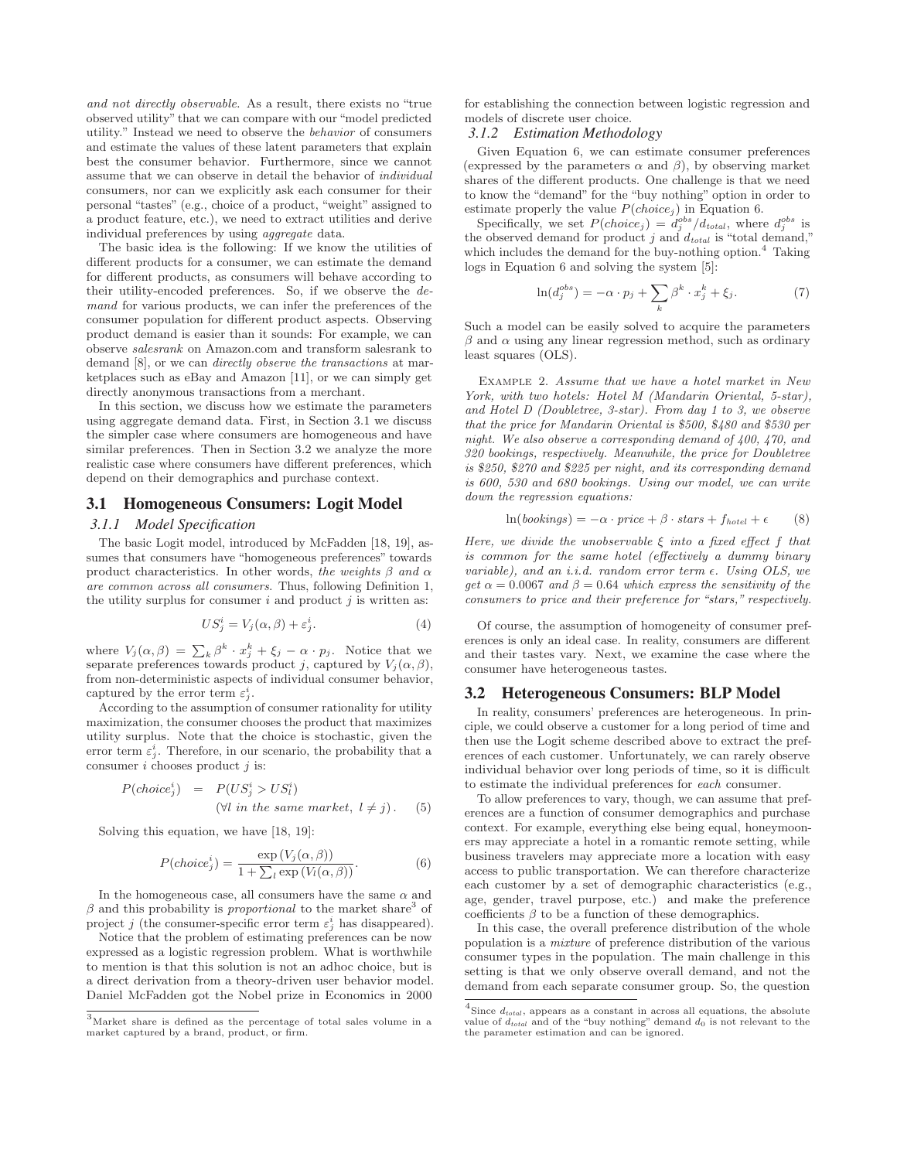and not directly observable. As a result, there exists no "true observed utility" that we can compare with our "model predicted utility." Instead we need to observe the behavior of consumers and estimate the values of these latent parameters that explain best the consumer behavior. Furthermore, since we cannot assume that we can observe in detail the behavior of individual consumers, nor can we explicitly ask each consumer for their personal "tastes" (e.g., choice of a product, "weight" assigned to a product feature, etc.), we need to extract utilities and derive individual preferences by using aggregate data.

The basic idea is the following: If we know the utilities of different products for a consumer, we can estimate the demand for different products, as consumers will behave according to their utility-encoded preferences. So, if we observe the demand for various products, we can infer the preferences of the consumer population for different product aspects. Observing product demand is easier than it sounds: For example, we can observe salesrank on Amazon.com and transform salesrank to demand [8], or we can *directly observe the transactions* at marketplaces such as eBay and Amazon [11], or we can simply get directly anonymous transactions from a merchant.

In this section, we discuss how we estimate the parameters using aggregate demand data. First, in Section 3.1 we discuss the simpler case where consumers are homogeneous and have similar preferences. Then in Section 3.2 we analyze the more realistic case where consumers have different preferences, which depend on their demographics and purchase context.

## 3.1 Homogeneous Consumers: Logit Model

### *3.1.1 Model Specification*

The basic Logit model, introduced by McFadden [18, 19], assumes that consumers have "homogeneous preferences" towards product characteristics. In other words, the weights  $\beta$  and  $\alpha$ are common across all consumers. Thus, following Definition 1, the utility surplus for consumer  $i$  and product  $j$  is written as:

$$
US_j^i = V_j(\alpha, \beta) + \varepsilon_j^i. \tag{4}
$$

where  $V_j(\alpha, \beta) = \sum_k \beta^k \cdot x_j^k + \xi_j - \alpha \cdot p_j$ . Notice that we separate preferences towards product j, captured by  $V_j(\alpha, \beta)$ , from non-deterministic aspects of individual consumer behavior, captured by the error term  $\varepsilon_j^i$ .

According to the assumption of consumer rationality for utility maximization, the consumer chooses the product that maximizes utility surplus. Note that the choice is stochastic, given the error term  $\varepsilon_j^i$ . Therefore, in our scenario, the probability that a consumer  $i$  chooses product  $j$  is:

$$
P(choiceij) = P(USij > USil)
$$
  
( $\forall l$  in the same market,  $l \neq j$ ). (5)

Solving this equation, we have [18, 19]:

$$
P(choice_j^i) = \frac{\exp(V_j(\alpha, \beta))}{1 + \sum_l \exp(V_l(\alpha, \beta))}.
$$
 (6)

In the homogeneous case, all consumers have the same  $\alpha$  and  $\beta$  and this probability is proportional to the market share<sup>3</sup> of project j (the consumer-specific error term  $\varepsilon_j^i$  has disappeared).

Notice that the problem of estimating preferences can be now expressed as a logistic regression problem. What is worthwhile to mention is that this solution is not an adhoc choice, but is a direct derivation from a theory-driven user behavior model. Daniel McFadden got the Nobel prize in Economics in 2000

for establishing the connection between logistic regression and models of discrete user choice.

## *3.1.2 Estimation Methodology*

Given Equation 6, we can estimate consumer preferences (expressed by the parameters  $\alpha$  and  $\beta$ ), by observing market shares of the different products. One challenge is that we need to know the "demand" for the "buy nothing" option in order to estimate properly the value  $P(choice_j)$  in Equation 6.

Specifically, we set  $P(choice_j) = d_j^{obs}/d_{total}$ , where  $d_j^{obs}$  is the observed demand for product j and d*total* is "total demand," which includes the demand for the buy-nothing option.<sup>4</sup> Taking logs in Equation 6 and solving the system [5]:

$$
\ln(d_j^{obs}) = -\alpha \cdot p_j + \sum_k \beta^k \cdot x_j^k + \xi_j.
$$
 (7)

Such a model can be easily solved to acquire the parameters  $\beta$  and  $\alpha$  using any linear regression method, such as ordinary least squares (OLS).

EXAMPLE 2. Assume that we have a hotel market in New York, with two hotels: Hotel M (Mandarin Oriental, 5-star), and Hotel D (Doubletree, 3-star). From day 1 to 3, we observe that the price for Mandarin Oriental is \$500, \$480 and \$530 per night. We also observe a corresponding demand of 400, 470, and 320 bookings, respectively. Meanwhile, the price for Doubletree is \$250, \$270 and \$225 per night, and its corresponding demand is 600, 530 and 680 bookings. Using our model, we can write down the regression equations:

$$
\ln(bookings) = -\alpha \cdot price + \beta \cdot stars + f_{hotel} + \epsilon \tag{8}
$$

Here, we divide the unobservable  $\xi$  into a fixed effect f that is common for the same hotel (effectively a dummy binary variable), and an i.i.d. random error term  $\epsilon$ . Using OLS, we get  $\alpha = 0.0067$  and  $\beta = 0.64$  which express the sensitivity of the consumers to price and their preference for "stars," respectively.

Of course, the assumption of homogeneity of consumer preferences is only an ideal case. In reality, consumers are different and their tastes vary. Next, we examine the case where the consumer have heterogeneous tastes.

## 3.2 Heterogeneous Consumers: BLP Model

In reality, consumers' preferences are heterogeneous. In principle, we could observe a customer for a long period of time and then use the Logit scheme described above to extract the preferences of each customer. Unfortunately, we can rarely observe individual behavior over long periods of time, so it is difficult to estimate the individual preferences for each consumer.

To allow preferences to vary, though, we can assume that preferences are a function of consumer demographics and purchase context. For example, everything else being equal, honeymooners may appreciate a hotel in a romantic remote setting, while business travelers may appreciate more a location with easy access to public transportation. We can therefore characterize each customer by a set of demographic characteristics (e.g., age, gender, travel purpose, etc.) and make the preference coefficients  $\beta$  to be a function of these demographics.

In this case, the overall preference distribution of the whole population is a mixture of preference distribution of the various consumer types in the population. The main challenge in this setting is that we only observe overall demand, and not the demand from each separate consumer group. So, the question

 $^3{\rm{Market}}$  share is defined as the percentage of total sales volume in a market captured by a brand, product, or firm.

 $^4$  Since  $d_{\mathit{total}}$  appears as a constant in across all equations, the absolute value of  $d_{total}$  and of the "buy nothing" demand  $d_0$  is not relevant to the the parameter estimation and can be ignored.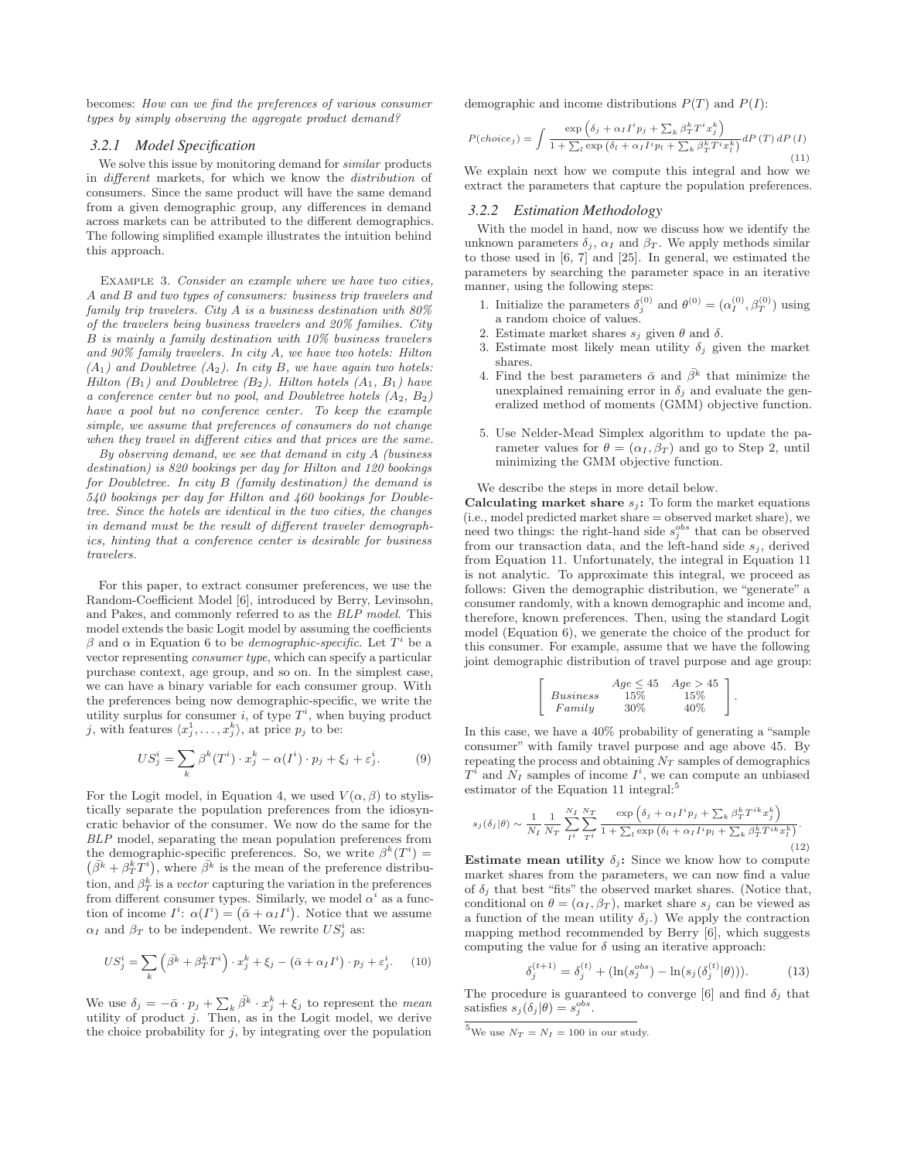becomes: How can we find the preferences of various consumer types by simply observing the aggregate product demand?

#### *3.2.1 Model Specification*

We solve this issue by monitoring demand for *similar* products in different markets, for which we know the distribution of consumers. Since the same product will have the same demand from a given demographic group, any differences in demand across markets can be attributed to the different demographics. The following simplified example illustrates the intuition behind this approach.

EXAMPLE 3. Consider an example where we have two cities, A and B and two types of consumers: business trip travelers and family trip travelers. City A is a business destination with 80% of the travelers being business travelers and 20% families. City B is mainly a family destination with 10% business travelers and 90% family travelers. In city A, we have two hotels: Hilton  $(A_1)$  and Doubletree  $(A_2)$ . In city B, we have again two hotels: Hilton  $(B_1)$  and Doubletree  $(B_2)$ . Hilton hotels  $(A_1, B_1)$  have a conference center but no pool, and Doubletree hotels  $(A_2, B_2)$ have a pool but no conference center. To keep the example simple, we assume that preferences of consumers do not change when they travel in different cities and that prices are the same.

By observing demand, we see that demand in city A (business destination) is 820 bookings per day for Hilton and 120 bookings for Doubletree. In city B (family destination) the demand is 540 bookings per day for Hilton and 460 bookings for Doubletree. Since the hotels are identical in the two cities, the changes in demand must be the result of different traveler demographics, hinting that a conference center is desirable for business travelers.

For this paper, to extract consumer preferences, we use the Random-Coefficient Model [6], introduced by Berry, Levinsohn, and Pakes, and commonly referred to as the BLP model. This model extends the basic Logit model by assuming the coefficients β and  $\alpha$  in Equation 6 to be *demographic-specific*. Let  $T<sup>i</sup>$  be a vector representing consumer type, which can specify a particular purchase context, age group, and so on. In the simplest case, we can have a binary variable for each consumer group. With the preferences being now demographic-specific, we write the utility surplus for consumer *i*, of type  $T<sup>i</sup>$ , when buying product j, with features  $\langle x_j^1, \ldots, x_j^k \rangle$ , at price  $p_j$  to be:

$$
US_j^i = \sum_k \beta^k(T^i) \cdot x_j^k - \alpha(I^i) \cdot p_j + \xi_j + \varepsilon_j^i. \tag{9}
$$

For the Logit model, in Equation 4, we used  $V(\alpha, \beta)$  to stylistically separate the population preferences from the idiosyncratic behavior of the consumer. We now do the same for the BLP model, separating the mean population preferences from the demographic-specific preferences. So, we write  $\beta^k(T^i) = (\bar{\beta^k} + \beta^k \bar{T^i})$ , where  $\bar{\beta^k}$  is the mean of the preference distribu- $(\bar{\beta^k} + \beta^k_T \tilde{T}^i)$ , where  $\bar{\beta^k}$  is the mean of the preference distribution, and  $\beta_T^k$  is a *vector* capturing the variation in the preferences from different consumer types. Similarly, we model  $\alpha^i$  as a function of income  $I^i$ :  $\alpha(I^i) = (\bar{\alpha} + \alpha_I I^i)$ . Notice that we assume  $\alpha_I$  and  $\beta_T$  to be independent. We rewrite  $US_j^i$  as:

$$
US_j^i = \sum_k \left( \bar{\beta^k} + \beta_T^k T^i \right) \cdot x_j^k + \xi_j - \left( \bar{\alpha} + \alpha_I I^i \right) \cdot p_j + \varepsilon_j^i. \tag{10}
$$

We use  $\delta_j = -\bar{\alpha} \cdot p_j + \sum_k \bar{\beta^k} \cdot x_j^k + \xi_j$  to represent the *mean* utility of product j. Then, as in the Logit model, we derive the choice probability for  $j$ , by integrating over the population demographic and income distributions  $P(T)$  and  $P(I)$ :

$$
P(choice_j) = \int \frac{\exp\left(\delta_j + \alpha_I I^i p_j + \sum_k \beta_T^k T^i x_j^k\right)}{1 + \sum_l \exp\left(\delta_l + \alpha_I I^i p_l + \sum_k \beta_T^k T^i x_l^k\right)} dP(T) dP(I)
$$
\n(11)

We explain next how we compute this integral and how we extract the parameters that capture the population preferences.

#### *3.2.2 Estimation Methodology*

With the model in hand, now we discuss how we identify the unknown parameters  $\delta_i$ ,  $\alpha_I$  and  $\beta_T$ . We apply methods similar to those used in [6, 7] and [25]. In general, we estimated the parameters by searching the parameter space in an iterative manner, using the following steps:

- 1. Initialize the parameters  $\delta_j^{(0)}$  and  $\theta^{(0)} = (\alpha_I^{(0)}, \beta_T^{(0)})$  using a random choice of values.
- 2. Estimate market shares  $s_j$  given  $\theta$  and  $\delta$ .
- 3. Estimate most likely mean utility  $\delta_j$  given the market shares.
- 4. Find the best parameters  $\bar{\alpha}$  and  $\bar{\beta}^k$  that minimize the unexplained remaining error in  $\delta_i$  and evaluate the generalized method of moments (GMM) objective function.
- 5. Use Nelder-Mead Simplex algorithm to update the parameter values for  $\theta = (\alpha_I, \beta_T)$  and go to Step 2, until minimizing the GMM objective function.

We describe the steps in more detail below.

**Calculating market share**  $s_i$ **: To form the market equations** (i.e., model predicted market share = observed market share), we need two things: the right-hand side  $s_j^{obs}$  that can be observed from our transaction data, and the left-hand side  $s_i$ , derived from Equation 11. Unfortunately, the integral in Equation 11 is not analytic. To approximate this integral, we proceed as follows: Given the demographic distribution, we "generate" a consumer randomly, with a known demographic and income and, therefore, known preferences. Then, using the standard Logit model (Equation 6), we generate the choice of the product for this consumer. For example, assume that we have the following joint demographic distribution of travel purpose and age group:

$$
\begin{array}{ccc}\n &Age \leq 45 & Age > 45 \\
\text{Business} & 15\% & 15\% \\
\text{Family} & 30\% & 40\% \\
\end{array}
$$

.

In this case, we have a 40% probability of generating a "sample consumer" with family travel purpose and age above 45. By repeating the process and obtaining  $N_T$  samples of demographics  $T^i$  and  $N_I$  samples of income  $I^i$ , we can compute an unbiased estimator of the Equation 11 integral:<sup>5</sup>

$$
s_j(\delta_j|\theta) \sim \frac{1}{N_I} \frac{1}{N_T} \sum_{I^i}^{N_I} \sum_{T^i}^{N_T} \frac{\exp\left(\delta_j + \alpha_I I^i p_j + \sum_k \beta_T^k T^{ik} x_j^k\right)}{1 + \sum_l \exp\left(\delta_l + \alpha_I I^i p_l + \sum_k \beta_T^k T^{ik} x_l^k\right)}.
$$
\n(12)

**Estimate mean utility**  $\delta_i$ **: Since we know how to compute** market shares from the parameters, we can now find a value of  $\delta_i$  that best "fits" the observed market shares. (Notice that, conditional on  $\theta = (\alpha_I, \beta_T)$ , market share  $s_i$  can be viewed as a function of the mean utility  $\delta_i$ .) We apply the contraction mapping method recommended by Berry [6], which suggests computing the value for  $\delta$  using an iterative approach:

$$
\delta_j^{(t+1)} = \delta_j^{(t)} + (\ln(s_j^{obs}) - \ln(s_j(\delta_j^{(t)}|\theta))).
$$
 (13)

The procedure is guaranteed to converge [6] and find  $\delta_i$  that satisfies  $s_j(\delta_j|\theta) = s_j^{obs}$ .

ſ

 $5$ We use  $N_T = N_I = 100$  in our study.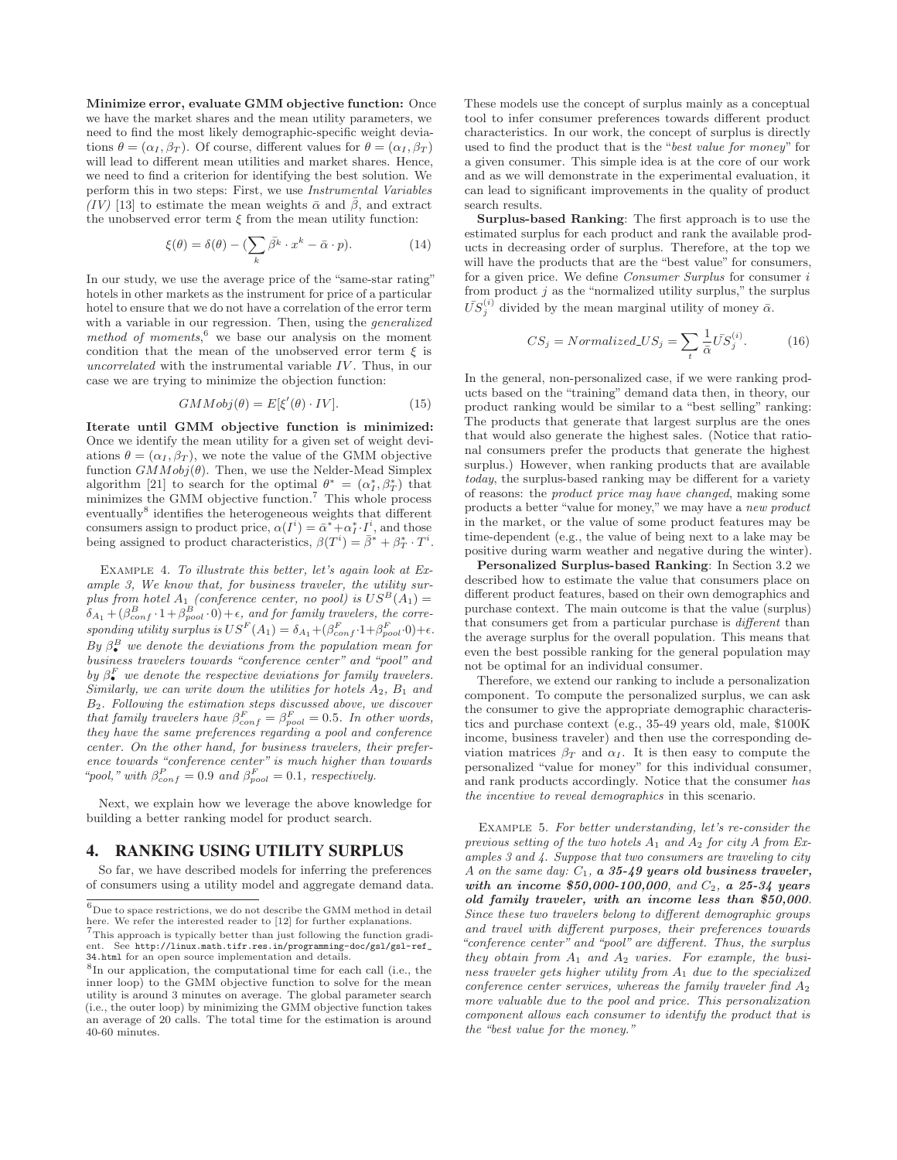**Minimize error, evaluate GMM objective function:** Once we have the market shares and the mean utility parameters, we need to find the most likely demographic-specific weight deviations  $\theta = (\alpha_I, \beta_T)$ . Of course, different values for  $\theta = (\alpha_I, \beta_T)$ will lead to different mean utilities and market shares. Hence, we need to find a criterion for identifying the best solution. We perform this in two steps: First, we use Instrumental Variables (IV) [13] to estimate the mean weights  $\bar{\alpha}$  and  $\bar{\beta}$ , and extract the unobserved error term  $\xi$  from the mean utility function:

$$
\xi(\theta) = \delta(\theta) - \left(\sum_{k} \bar{\beta^k} \cdot x^k - \bar{\alpha} \cdot p\right). \tag{14}
$$

In our study, we use the average price of the "same-star rating" hotels in other markets as the instrument for price of a particular hotel to ensure that we do not have a correlation of the error term with a variable in our regression. Then, using the generalized method of moments,<sup>6</sup> we base our analysis on the moment condition that the mean of the unobserved error term  $\xi$  is uncorrelated with the instrumental variable IV. Thus, in our case we are trying to minimize the objection function:

$$
GMMobj(\theta) = E[\xi'(\theta) \cdot IV]. \tag{15}
$$

**Iterate until GMM objective function is minimized:** Once we identify the mean utility for a given set of weight deviations  $\theta = (\alpha_I, \beta_T)$ , we note the value of the GMM objective function  $GMMobj(\theta)$ . Then, we use the Nelder-Mead Simplex algorithm [21] to search for the optimal  $\theta^* = (\alpha_I^*, \beta_T^*)$  that minimizes the GMM objective function.<sup>7</sup> This whole process eventually<sup>8</sup> identifies the heterogeneous weights that different consumers assign to product price,  $\alpha(I^i) = \overline{\alpha^*} + \alpha_I^* \cdot I^i$ , and those being assigned to product characteristics,  $\beta(T^i) = \overline{\beta}^* + \beta^*_{T} \cdot T^i$ .

Example 4. To illustrate this better, let's again look at Example 3, We know that, for business traveler, the utility surplus from hotel  $A_1$  (conference center, no pool) is  $US^B(A_1) =$  $\delta_{A_1} + (\beta_{conf}^B \cdot 1 + \beta_{pool}^B \cdot 0) + \epsilon$ , and for family travelers, the corresponding utility surplus is  $US^{F}(A_1) = \delta_{A_1} + (\beta_{conf}^{F} \cdot 1 + \beta_{pool}^{F} \cdot 0) + \epsilon.$ By  $\beta_{\bullet}^B$  we denote the deviations from the population mean for business travelers towards "conference center" and "pool" and by  $\beta_{\bullet}^F$  we denote the respective deviations for family travelers. Similarly, we can write down the utilities for hotels  $A_2$ ,  $B_1$  and  $B_2$ . Following the estimation steps discussed above, we discover that family travelers have  $\beta_{conf}^F = \beta_{pool}^F = 0.5$ . In other words, they have the same preferences regarding a pool and conference center. On the other hand, for business travelers, their preference towards "conference center" is much higher than towards "pool," with  $\beta_{conf}^P = 0.9$  and  $\beta_{pool}^F = 0.1$ , respectively.

Next, we explain how we leverage the above knowledge for building a better ranking model for product search.

### 4. RANKING USING UTILITY SURPLUS

So far, we have described models for inferring the preferences of consumers using a utility model and aggregate demand data. These models use the concept of surplus mainly as a conceptual tool to infer consumer preferences towards different product characteristics. In our work, the concept of surplus is directly used to find the product that is the "best value for money" for a given consumer. This simple idea is at the core of our work and as we will demonstrate in the experimental evaluation, it can lead to significant improvements in the quality of product search results.

**Surplus-based Ranking**: The first approach is to use the estimated surplus for each product and rank the available products in decreasing order of surplus. Therefore, at the top we will have the products that are the "best value" for consumers, for a given price. We define *Consumer Surplus* for consumer i from product  $j$  as the "normalized utility surplus," the surplus  $\overline{US_j^{(i)}}$  divided by the mean marginal utility of money  $\overline{\alpha}$ .

$$
CS_j = Normalized\_{US_j} = \sum_{t} \frac{1}{\bar{\alpha}} \bar{US}_j^{(i)}.
$$
 (16)

In the general, non-personalized case, if we were ranking products based on the "training" demand data then, in theory, our product ranking would be similar to a "best selling" ranking: The products that generate that largest surplus are the ones that would also generate the highest sales. (Notice that rational consumers prefer the products that generate the highest surplus.) However, when ranking products that are available today, the surplus-based ranking may be different for a variety of reasons: the product price may have changed, making some products a better "value for money," we may have a new product in the market, or the value of some product features may be time-dependent (e.g., the value of being next to a lake may be positive during warm weather and negative during the winter).

**Personalized Surplus-based Ranking**: In Section 3.2 we described how to estimate the value that consumers place on different product features, based on their own demographics and purchase context. The main outcome is that the value (surplus) that consumers get from a particular purchase is different than the average surplus for the overall population. This means that even the best possible ranking for the general population may not be optimal for an individual consumer.

Therefore, we extend our ranking to include a personalization component. To compute the personalized surplus, we can ask the consumer to give the appropriate demographic characteristics and purchase context (e.g., 35-49 years old, male, \$100K income, business traveler) and then use the corresponding deviation matrices  $\beta_T$  and  $\alpha_I$ . It is then easy to compute the personalized "value for money" for this individual consumer, and rank products accordingly. Notice that the consumer has the incentive to reveal demographics in this scenario.

Example 5. For better understanding, let's re-consider the previous setting of the two hotels  $A_1$  and  $A_2$  for city A from Examples 3 and 4. Suppose that two consumers are traveling to city A on the same day:  $C_1$ ,  $\alpha$  35-49 years old business traveler, *with an income* \$50,000-100,000, and  $C_2$ , *a* 25-34 years *old family traveler, with an income less than \$50,000*. Since these two travelers belong to different demographic groups and travel with different purposes, their preferences towards "conference center" and "pool" are different. Thus, the surplus they obtain from  $A_1$  and  $A_2$  varies. For example, the business traveler gets higher utility from  $A_1$  due to the specialized conference center services, whereas the family traveler find  $A_2$ more valuable due to the pool and price. This personalization component allows each consumer to identify the product that is the "best value for the money."

 $^6\rm{Due}$  to space restrictions, we do not describe the GMM method in detail here. We refer the interested reader to [12] for further explanations.

 ${\rm ^7This}$  approach is typically better than just following the function gradient. See http://linux.math.tifr.res.in/programming-doc/gsl/gsl-ref\_34.html for an open source implementation and details.

 ${}^{8}$ In our application, the computational time for each call (i.e., the inner loop) to the GMM objective function to solve for the mean utility is around 3 minutes on average. The global parameter search (i.e., the outer loop) by minimizing the GMM objective function takes an average of 20 calls. The total time for the estimation is around 40-60 minutes.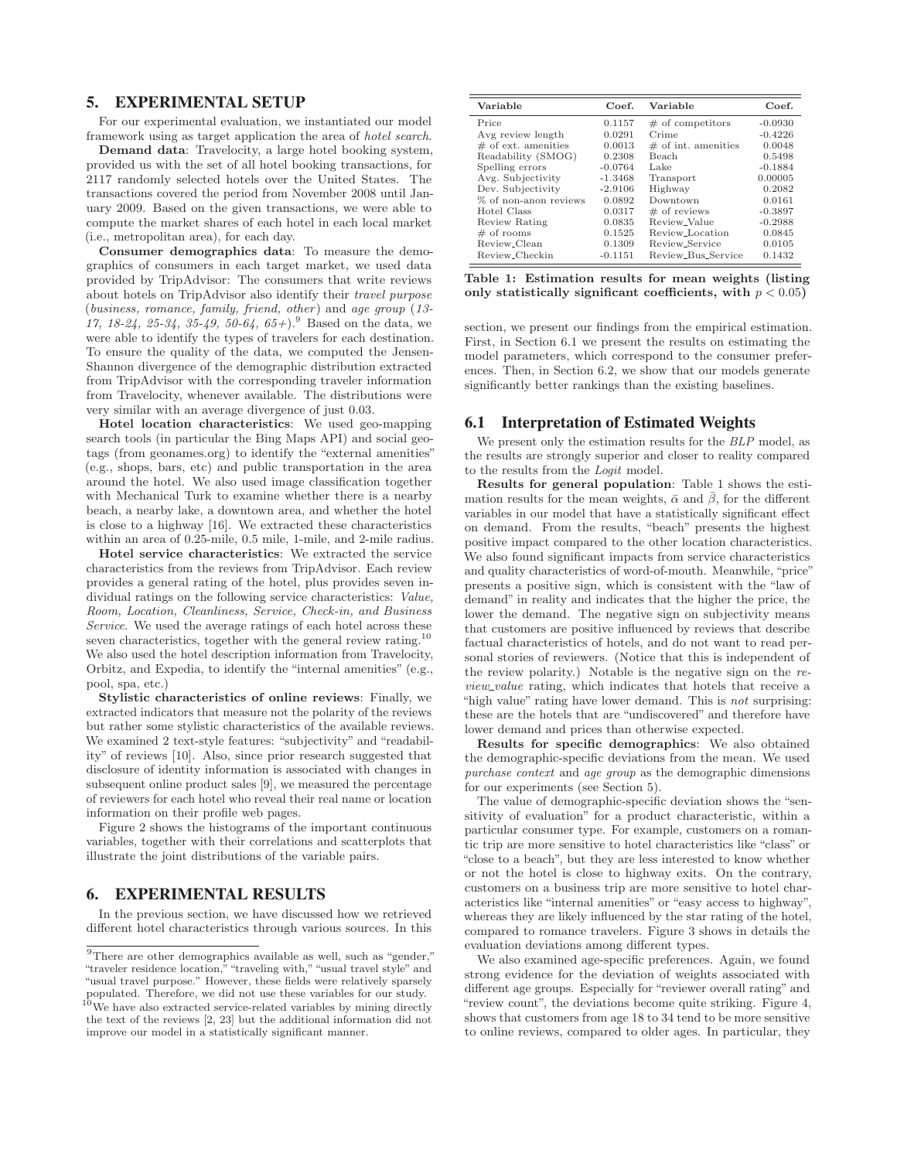## 5. EXPERIMENTAL SETUP

For our experimental evaluation, we instantiated our model framework using as target application the area of hotel search.

**Demand data**: Travelocity, a large hotel booking system, provided us with the set of all hotel booking transactions, for 2117 randomly selected hotels over the United States. The transactions covered the period from November 2008 until January 2009. Based on the given transactions, we were able to compute the market shares of each hotel in each local market (i.e., metropolitan area), for each day.

**Consumer demographics data**: To measure the demographics of consumers in each target market, we used data provided by TripAdvisor: The consumers that write reviews about hotels on TripAdvisor also identify their travel purpose (business, romance, family, friend, other) and age group (13- 17, 18-24, 25-34, 35-49, 50-64,  $65+$ ). Based on the data, we were able to identify the types of travelers for each destination. To ensure the quality of the data, we computed the Jensen-Shannon divergence of the demographic distribution extracted from TripAdvisor with the corresponding traveler information from Travelocity, whenever available. The distributions were very similar with an average divergence of just 0.03.

**Hotel location characteristics**: We used geo-mapping search tools (in particular the Bing Maps API) and social geotags (from geonames.org) to identify the "external amenities" (e.g., shops, bars, etc) and public transportation in the area around the hotel. We also used image classification together with Mechanical Turk to examine whether there is a nearby beach, a nearby lake, a downtown area, and whether the hotel is close to a highway [16]. We extracted these characteristics within an area of 0.25-mile, 0.5 mile, 1-mile, and 2-mile radius.

**Hotel service characteristics**: We extracted the service characteristics from the reviews from TripAdvisor. Each review provides a general rating of the hotel, plus provides seven individual ratings on the following service characteristics: Value, Room, Location, Cleanliness, Service, Check-in, and Business Service. We used the average ratings of each hotel across these seven characteristics, together with the general review rating.<sup>10</sup> We also used the hotel description information from Travelocity, Orbitz, and Expedia, to identify the "internal amenities" (e.g., pool, spa, etc.)

**Stylistic characteristics of online reviews**: Finally, we extracted indicators that measure not the polarity of the reviews but rather some stylistic characteristics of the available reviews. We examined 2 text-style features: "subjectivity" and "readability" of reviews [10]. Also, since prior research suggested that disclosure of identity information is associated with changes in subsequent online product sales [9], we measured the percentage of reviewers for each hotel who reveal their real name or location information on their profile web pages.

Figure 2 shows the histograms of the important continuous variables, together with their correlations and scatterplots that illustrate the joint distributions of the variable pairs.

# 6. EXPERIMENTAL RESULTS

In the previous section, we have discussed how we retrieved different hotel characteristics through various sources. In this

| Variable               | Coef.     | Variable              | Coef.     |
|------------------------|-----------|-----------------------|-----------|
| Price                  | 0.1157    | $\#$ of competitors   | $-0.0930$ |
| Avg review length      | 0.0291    | Crime                 | $-0.4226$ |
| $\#$ of ext. amenities | 0.0013    | $#$ of int. amenities | 0.0048    |
| Readability (SMOG)     | 0.2308    | Beach                 | 0.5498    |
| Spelling errors        | $-0.0764$ | Lake                  | $-0.1884$ |
| Avg. Subjectivity      | $-1.3468$ | Transport             | 0.00005   |
| Dev. Subjectivity      | $-2.9106$ | Highway               | 0.2082    |
| % of non-anon reviews  | 0.0892    | Downtown              | 0.0161    |
| Hotel Class            | 0.0317    | $#$ of reviews        | $-0.3897$ |
| Review Rating          | 0.0835    | Review_Value          | $-0.2988$ |
| # of rooms             | 0.1525    | Review_Location       | 0.0845    |
| Review_Clean           | 0.1309    | Review_Service        | 0.0105    |
| Review_Checkin         | $-0.1151$ | Review_Bus_Service    | 0.1432    |

**Table 1: Estimation results for mean weights (listing** only statistically significant coefficients, with  $p < 0.05$ )

section, we present our findings from the empirical estimation. First, in Section 6.1 we present the results on estimating the model parameters, which correspond to the consumer preferences. Then, in Section 6.2, we show that our models generate significantly better rankings than the existing baselines.

## 6.1 Interpretation of Estimated Weights

We present only the estimation results for the  $BLP$  model, as the results are strongly superior and closer to reality compared to the results from the Logit model.

**Results for general population**: Table 1 shows the estimation results for the mean weights,  $\bar{\alpha}$  and  $\bar{\beta}$ , for the different variables in our model that have a statistically significant effect on demand. From the results, "beach" presents the highest positive impact compared to the other location characteristics. We also found significant impacts from service characteristics and quality characteristics of word-of-mouth. Meanwhile, "price" presents a positive sign, which is consistent with the "law of demand" in reality and indicates that the higher the price, the lower the demand. The negative sign on subjectivity means that customers are positive influenced by reviews that describe factual characteristics of hotels, and do not want to read personal stories of reviewers. (Notice that this is independent of the review polarity.) Notable is the negative sign on the review\_value rating, which indicates that hotels that receive a "high value" rating have lower demand. This is *not* surprising: these are the hotels that are "undiscovered" and therefore have lower demand and prices than otherwise expected.

**Results for specific demographics**: We also obtained the demographic-specific deviations from the mean. We used purchase context and age group as the demographic dimensions for our experiments (see Section 5).

The value of demographic-specific deviation shows the "sensitivity of evaluation" for a product characteristic, within a particular consumer type. For example, customers on a romantic trip are more sensitive to hotel characteristics like "class" or "close to a beach", but they are less interested to know whether or not the hotel is close to highway exits. On the contrary, customers on a business trip are more sensitive to hotel characteristics like "internal amenities" or "easy access to highway", whereas they are likely influenced by the star rating of the hotel, compared to romance travelers. Figure 3 shows in details the evaluation deviations among different types.

We also examined age-specific preferences. Again, we found strong evidence for the deviation of weights associated with different age groups. Especially for "reviewer overall rating" and "review count", the deviations become quite striking. Figure 4, shows that customers from age 18 to 34 tend to be more sensitive to online reviews, compared to older ages. In particular, they

<sup>9</sup>There are other demographics available as well, such as "gender," "traveler residence location,""traveling with,""usual travel style" and "usual travel purpose." However, these fields were relatively sparsely populated. Therefore, we did not use these variables for our study.

 $10$ We have also extracted service-related variables by mining directly the text of the reviews [2, 23] but the additional information did not improve our model in a statistically significant manner.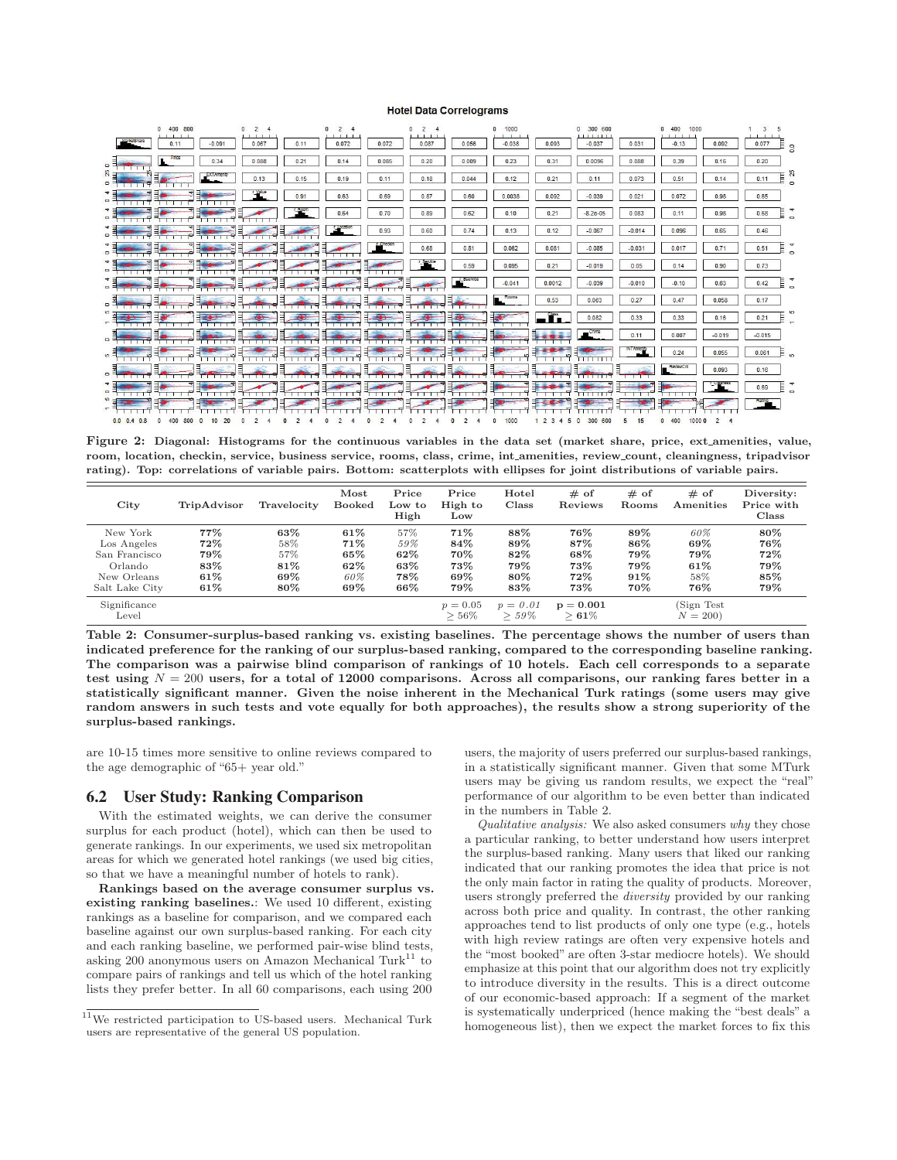#### **Hotel Data Correlograms**

| 400 800<br>$^{\circ}$<br><b>ELLER</b>           | $\overline{2}$<br>$\Omega$<br>$1 + 1 + 1$      | $\overline{2}$<br>1.1.1.1.                                               | n<br>2<br>1.1.1.1 |                      | 1000     |                     | 300 600<br>$^{\circ}$<br>111111 | 400<br>n                 | 1000          |                     |
|-------------------------------------------------|------------------------------------------------|--------------------------------------------------------------------------|-------------------|----------------------|----------|---------------------|---------------------------------|--------------------------|---------------|---------------------|
| MarketShare<br>0.11                             | $-0.091$<br>0.067<br>0.11                      | 0.072<br>0.072                                                           | 0.087             | 0.056                | $-0.038$ | 0.093               | $-0.037$                        | $-0.13$<br>0.031         | 0.092         | 0.077               |
| <b>TITLE</b>                                    | 0.34<br>0.088<br>0.21                          | 0.14<br>0.085                                                            | 0.20              | 0.009                | 0.23     | 0.31                | 0.0096                          | 0.39<br>0.088            | 0.16          | 0.20                |
| $\frac{1}{2}$<br>ı<br>$\circ$ $\exists$<br>ना न | 0.13<br>0.15                                   | 0.19<br>0.11                                                             | 0.18              | 0.044                | 0.12     | 0.21                | 0.11                            | 0.51<br>0.073            | 0.14          | $E^{\circ}$<br>0.11 |
| ᇯ                                               | 0.91<br>.                                      | 0.63<br>0.69                                                             | 0.87              | 0.60                 | 0.0038   | 0.092               | $-0.039$                        | 0.072<br>0.021           | 0.98          | 0.65                |
| $\circ$ =                                       | 급                                              | 0.64<br>0.70                                                             | 0.89              | 0.62                 | 0.10     | 0.21                | $-8.2e-05$                      | 0.083<br>0.11            | 0.98          | E<br>0.68           |
| 巪<br>$\frac{1}{\sqrt{2}}$<br>' _                | ョ                                              | 0.93                                                                     | 0.60              | 0.74                 | 0.13     | 0.12                | $-0.067$                        | 0.096<br>$-0.014$        | 0.65          | 0.46                |
| ャヨ<br>$\circ$ =                                 | Е                                              | r Checkin                                                                | 0.68              | 0.81                 | 0.062    | 0.081               | $-0.085$                        | $-0.031$<br>0.017        | 0.71          | E.<br>0.51          |
| $\circ$ $\exists$                               |                                                |                                                                          | L' Service        | 0.59                 | 0.095    | 0.21                | $-0.019$                        | 0.05<br>0.14             | 0.90          | 0.73                |
| ≁ ਜ                                             |                                                |                                                                          | 킄                 | Bisendos             | $-0.041$ | 0.0012              | $-0.039$                        | $-0.010$<br>$-0.10$      | 0.63          | E.<br>0.42          |
| m<br>目目<br>∃<br>$\circ$ $\exists$               |                                                |                                                                          | सरामा             | ョ                    | Rooms    | 0.53                | 0.063                           | 0.47<br>0.27             | 0.058         | 0.17                |
| $\frac{1}{\frac{1}{2}}$<br>玉                    |                                                | $\exists$                                                                |                   | ₹                    |          |                     | 0.082                           | 0.33<br>0.33             | 0.16          | E.<br>0.21          |
| l<br>H                                          | ≣<br>ļ                                         | ▌<br>l                                                                   | ļ                 | ı                    | l        |                     |                                 | 0.007<br>0.11            | $-0.019$      | $-0.015$            |
| Е                                               | Ξ                                              | Е<br>Е                                                                   | Ξ                 | Е                    |          |                     | Е<br>. <del>.</del>             | 0.24                     | 0.055         | 0.061               |
| $\circ$ -                                       |                                                | ≣<br>目                                                                   | Ξ                 | ı                    |          |                     | ₹<br>Ε                          | ReviewCnt                | 0.093         | 0.16                |
| $\frac{1}{2}$                                   |                                                | 킄                                                                        | ᆿ                 |                      |          |                     | ₹                               | $\overline{\phantom{a}}$ |               | l.<br>0.69          |
| $\frac{1}{2}$<br>킈                              | ╕<br>Ξ                                         | ₹                                                                        | ₹                 | ₹                    |          |                     |                                 | 围                        |               | Rating              |
| 0.0 0.4 0.0 0.400 0.00 0.40                     | $\sim$<br>$\sim$<br>20<br>$\sim$<br>$\sqrt{2}$ | $\sim$<br>$\sim$<br>$\overline{a}$<br>$\sim$<br>$\sim$<br>$\overline{a}$ | $\sim$<br>$\sim$  | $\sim$<br>$\sqrt{2}$ | 0.1000   | 1 2 3 4 5 1 200 200 |                                 | $E = 4E$                 | 0.400.4000002 |                     |

**Figure 2: Diagonal: Histograms for the continuous variables in the data set (market share, price, ext amenities, value, room, location, checkin, service, business service, rooms, class, crime, int amenities, review count, cleaningness, tripadvisor rating). Top: correlations of variable pairs. Bottom: scatterplots with ellipses for joint distributions of variable pairs.**

| City                  | TripAdvisor | Travelocity | Most<br>Booked | Price<br>Low to<br>High | Price<br>High to<br>Low | Hotel<br>Class         | # of<br><b>Reviews</b> | # of<br><b>Rooms</b> | # of<br><b>A</b> menities | Diversity:<br>Price with<br>Class |
|-----------------------|-------------|-------------|----------------|-------------------------|-------------------------|------------------------|------------------------|----------------------|---------------------------|-----------------------------------|
| New York              | 77%         | 63%         | 61%            | 57%                     | 71%                     | 88%                    | 76%                    | 89%                  | 60%                       | 80%                               |
| Los Angeles           | 72%         | 58%         | 71%            | 59%                     | 84%                     | 89%                    | 87%                    | 86%                  | 69%                       | 76%                               |
| San Francisco         | 79%         | 57%         | 65%            | 62%                     | 70%                     | 82%                    | 68%                    | 79%                  | 79%                       | 72%                               |
| Orlando               | 83%         | 81%         | 62%            | 63%                     | 73%                     | 79%                    | 73%                    | 79%                  | 61%                       | 79%                               |
| New Orleans           | 61%         | 69%         | 60%            | 78%                     | 69%                     | 80%                    | 72%                    | 91%                  | 58%                       | 85%                               |
| Salt Lake City        | 61%         | 80%         | 69%            | 66%                     | 79%                     | 83%                    | 73%                    | 70%                  | 76%                       | 79%                               |
| Significance<br>Level |             |             |                |                         | $p = 0.05$<br>$>56\%$   | $p = 0.01$<br>$> 59\%$ | $p = 0.001$<br>$>61\%$ |                      | (Sign Test)<br>$N = 200$  |                                   |

**Table 2: Consumer-surplus-based ranking vs. existing baselines. The percentage shows the number of users than indicated preference for the ranking of our surplus-based ranking, compared to the corresponding baseline ranking. The comparison was a pairwise blind comparison of rankings of 10 hotels. Each cell corresponds to a separate** test using  $N = 200$  users, for a total of 12000 comparisons. Across all comparisons, our ranking fares better in a **statistically significant manner. Given the noise inherent in the Mechanical Turk ratings (some users may give random answers in such tests and vote equally for both approaches), the results show a strong superiority of the surplus-based rankings.**

are 10-15 times more sensitive to online reviews compared to the age demographic of "65+ year old."

## 6.2 User Study: Ranking Comparison

With the estimated weights, we can derive the consumer surplus for each product (hotel), which can then be used to generate rankings. In our experiments, we used six metropolitan areas for which we generated hotel rankings (we used big cities, so that we have a meaningful number of hotels to rank).

**Rankings based on the average consumer surplus vs. existing ranking baselines.**: We used 10 different, existing rankings as a baseline for comparison, and we compared each baseline against our own surplus-based ranking. For each city and each ranking baseline, we performed pair-wise blind tests, asking 200 anonymous users on Amazon Mechanical Turk<sup>11</sup> to compare pairs of rankings and tell us which of the hotel ranking lists they prefer better. In all 60 comparisons, each using 200

users, the majority of users preferred our surplus-based rankings, in a statistically significant manner. Given that some MTurk users may be giving us random results, we expect the "real" performance of our algorithm to be even better than indicated in the numbers in Table 2.

Qualitative analysis: We also asked consumers why they chose a particular ranking, to better understand how users interpret the surplus-based ranking. Many users that liked our ranking indicated that our ranking promotes the idea that price is not the only main factor in rating the quality of products. Moreover, users strongly preferred the diversity provided by our ranking across both price and quality. In contrast, the other ranking approaches tend to list products of only one type (e.g., hotels with high review ratings are often very expensive hotels and the "most booked" are often 3-star mediocre hotels). We should emphasize at this point that our algorithm does not try explicitly to introduce diversity in the results. This is a direct outcome of our economic-based approach: If a segment of the market is systematically underpriced (hence making the "best deals" a homogeneous list), then we expect the market forces to fix this

 $^{11}\rm{We}$  restricted participation to US-based users. Mechanical Turk users are representative of the general US population.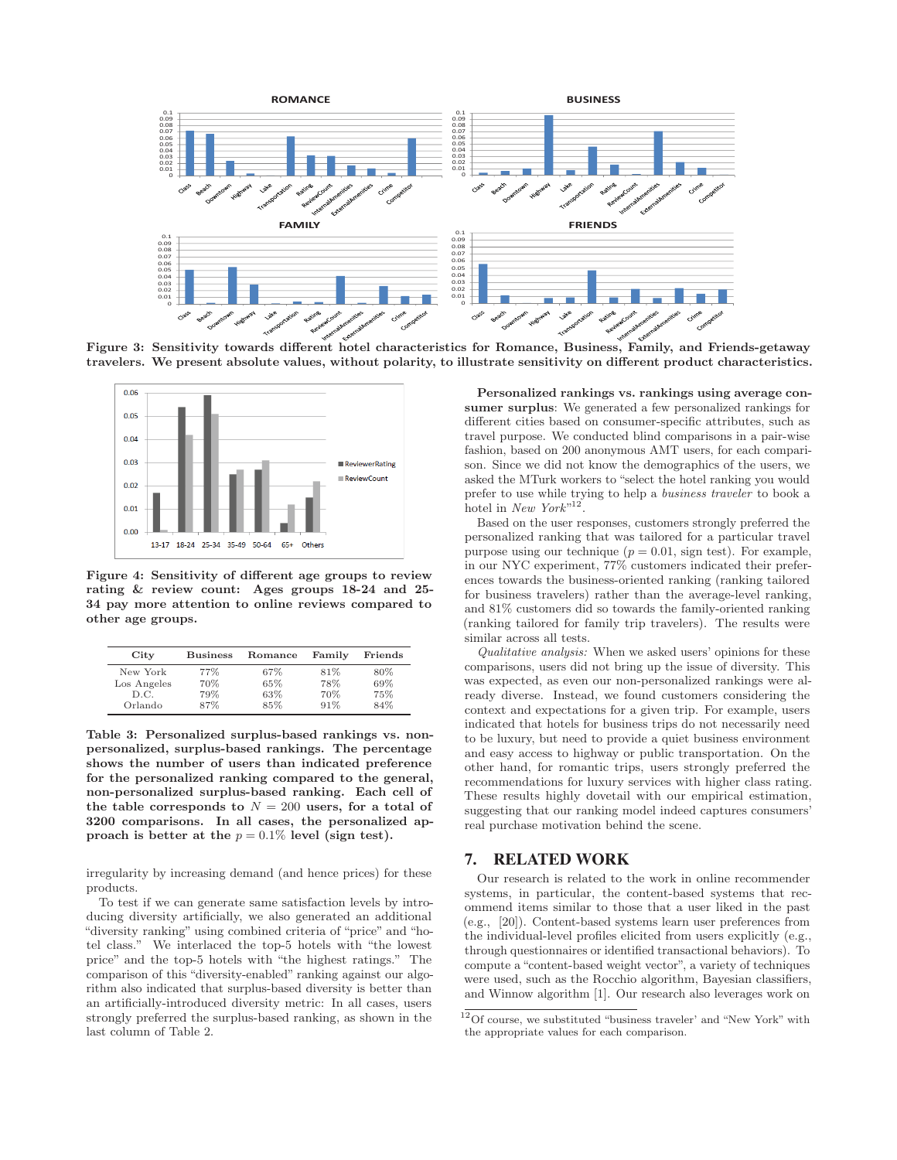

**Figure 3: Sensitivity towards different hotel characteristics for Romance, Business, Family, and Friends-getaway travelers. We present absolute values, without polarity, to illustrate sensitivity on different product characteristics.**



**Figure 4: Sensitivity of different age groups to review rating & review count: Ages groups 18-24 and 25- 34 pay more attention to online reviews compared to other age groups.**

| $\mathrm{City}$ | <b>Business</b> | Romance | Family | Friends |
|-----------------|-----------------|---------|--------|---------|
| New York        | 77%             | 67%     | 81%    | 80%     |
| Los Angeles     | 70%             | 65%     | 78%    | 69%     |
| D.C.            | 79%             | 63%     | 70%    | 75%     |
| Orlando         | 87%             | 85%     | 91%    | 84%     |

**Table 3: Personalized surplus-based rankings vs. nonpersonalized, surplus-based rankings. The percentage shows the number of users than indicated preference for the personalized ranking compared to the general, non-personalized surplus-based ranking. Each cell of** the table corresponds to  $N = 200$  users, for a total of **3200 comparisons. In all cases, the personalized approach is better at the**  $p = 0.1\%$  **level** (sign test).

irregularity by increasing demand (and hence prices) for these products.

To test if we can generate same satisfaction levels by introducing diversity artificially, we also generated an additional "diversity ranking" using combined criteria of "price" and "hotel class." We interlaced the top-5 hotels with "the lowest price" and the top-5 hotels with "the highest ratings." The comparison of this "diversity-enabled" ranking against our algorithm also indicated that surplus-based diversity is better than an artificially-introduced diversity metric: In all cases, users strongly preferred the surplus-based ranking, as shown in the last column of Table 2.

**Personalized rankings vs. rankings using average consumer surplus**: We generated a few personalized rankings for different cities based on consumer-specific attributes, such as travel purpose. We conducted blind comparisons in a pair-wise fashion, based on 200 anonymous AMT users, for each comparison. Since we did not know the demographics of the users, we asked the MTurk workers to "select the hotel ranking you would prefer to use while trying to help a business traveler to book a hotel in New York"<sup>12</sup>.

Based on the user responses, customers strongly preferred the personalized ranking that was tailored for a particular travel purpose using our technique  $(p = 0.01, \text{sign test})$ . For example, in our NYC experiment, 77% customers indicated their preferences towards the business-oriented ranking (ranking tailored for business travelers) rather than the average-level ranking, and 81% customers did so towards the family-oriented ranking (ranking tailored for family trip travelers). The results were similar across all tests.

Qualitative analysis: When we asked users' opinions for these comparisons, users did not bring up the issue of diversity. This was expected, as even our non-personalized rankings were already diverse. Instead, we found customers considering the context and expectations for a given trip. For example, users indicated that hotels for business trips do not necessarily need to be luxury, but need to provide a quiet business environment and easy access to highway or public transportation. On the other hand, for romantic trips, users strongly preferred the recommendations for luxury services with higher class rating. These results highly dovetail with our empirical estimation, suggesting that our ranking model indeed captures consumers' real purchase motivation behind the scene.

# 7. RELATED WORK

Our research is related to the work in online recommender systems, in particular, the content-based systems that recommend items similar to those that a user liked in the past (e.g., [20]). Content-based systems learn user preferences from the individual-level profiles elicited from users explicitly (e.g., through questionnaires or identified transactional behaviors). To compute a "content-based weight vector", a variety of techniques were used, such as the Rocchio algorithm, Bayesian classifiers, and Winnow algorithm [1]. Our research also leverages work on

 $^{12}\mathrm{Of}$  course, we substituted "business traveler' and "New York" with the appropriate values for each comparison.